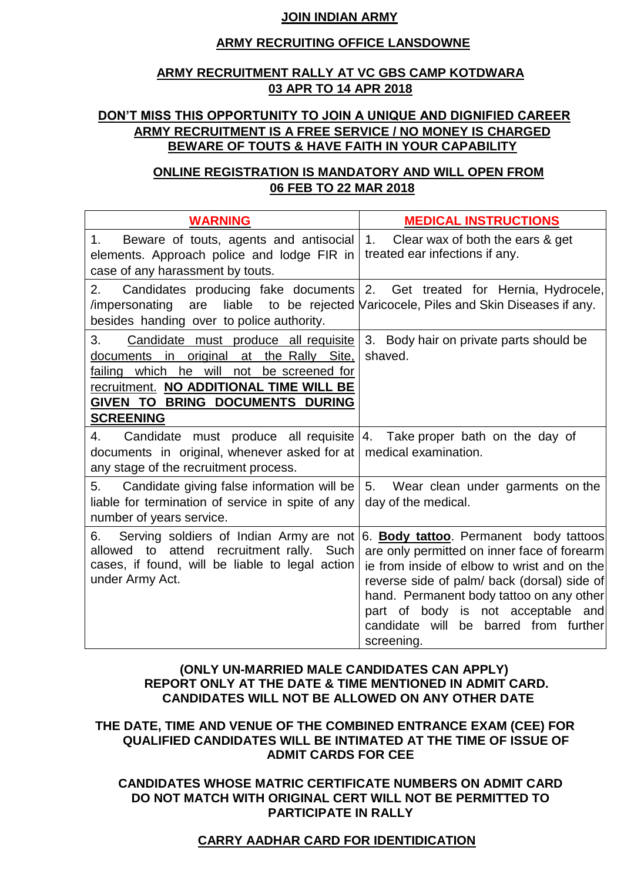## **JOIN INDIAN ARMY**

### **ARMY RECRUITING OFFICE LANSDOWNE**

## **ARMY RECRUITMENT RALLY AT VC GBS CAMP KOTDWARA 03 APR TO 14 APR 2018**

## **DON'T MISS THIS OPPORTUNITY TO JOIN A UNIQUE AND DIGNIFIED CAREER ARMY RECRUITMENT IS A FREE SERVICE / NO MONEY IS CHARGED BEWARE OF TOUTS & HAVE FAITH IN YOUR CAPABILITY**

## **ONLINE REGISTRATION IS MANDATORY AND WILL OPEN FROM 06 FEB TO 22 MAR 2018**

| <b>WARNING</b>                                                                                                                                                                                                                              | <b>MEDICAL INSTRUCTIONS</b>                                                                                                                                                                                                                                                                                                     |
|---------------------------------------------------------------------------------------------------------------------------------------------------------------------------------------------------------------------------------------------|---------------------------------------------------------------------------------------------------------------------------------------------------------------------------------------------------------------------------------------------------------------------------------------------------------------------------------|
| Beware of touts, agents and antisocial<br>1.<br>elements. Approach police and lodge FIR in<br>case of any harassment by touts.                                                                                                              | 1.<br>Clear wax of both the ears & get<br>treated ear infections if any.                                                                                                                                                                                                                                                        |
| 2.<br>Candidates producing fake documents<br>/impersonating<br>are<br>besides handing over to police authority.                                                                                                                             | 2. Get treated for Hernia, Hydrocele,<br>liable to be rejected Naricocele, Piles and Skin Diseases if any.                                                                                                                                                                                                                      |
| Candidate must produce all requisite<br>3.<br>documents in original at the Rally Site,<br>which he will not<br>be screened for<br>failing<br>recruitment. NO ADDITIONAL TIME WILL BE<br>GIVEN TO BRING DOCUMENTS DURING<br><b>SCREENING</b> | 3. Body hair on private parts should be<br>shaved.                                                                                                                                                                                                                                                                              |
| Candidate must produce all requisite<br>4.<br>documents in original, whenever asked for at<br>any stage of the recruitment process.                                                                                                         | 4. Take proper bath on the day of<br>medical examination.                                                                                                                                                                                                                                                                       |
| Candidate giving false information will be<br>5.<br>liable for termination of service in spite of any<br>number of years service.                                                                                                           | 5. Wear clean under garments on the<br>day of the medical.                                                                                                                                                                                                                                                                      |
| Serving soldiers of Indian Army are not<br>6.<br>recruitment rally. Such<br>attend<br>allowed<br>to<br>cases, if found, will be liable to legal action<br>under Army Act.                                                                   | 6. Body tattoo. Permanent body tattoos<br>are only permitted on inner face of forearm<br>ie from inside of elbow to wrist and on the<br>reverse side of palm/ back (dorsal) side of<br>hand. Permanent body tattoo on any other<br>part of body is not acceptable and<br>candidate will<br>be barred from further<br>screening. |

## **(ONLY UN-MARRIED MALE CANDIDATES CAN APPLY) REPORT ONLY AT THE DATE & TIME MENTIONED IN ADMIT CARD. CANDIDATES WILL NOT BE ALLOWED ON ANY OTHER DATE**

**THE DATE, TIME AND VENUE OF THE COMBINED ENTRANCE EXAM (CEE) FOR QUALIFIED CANDIDATES WILL BE INTIMATED AT THE TIME OF ISSUE OF ADMIT CARDS FOR CEE** 

**CANDIDATES WHOSE MATRIC CERTIFICATE NUMBERS ON ADMIT CARD DO NOT MATCH WITH ORIGINAL CERT WILL NOT BE PERMITTED TO PARTICIPATE IN RALLY** 

## **CARRY AADHAR CARD FOR IDENTIDICATION**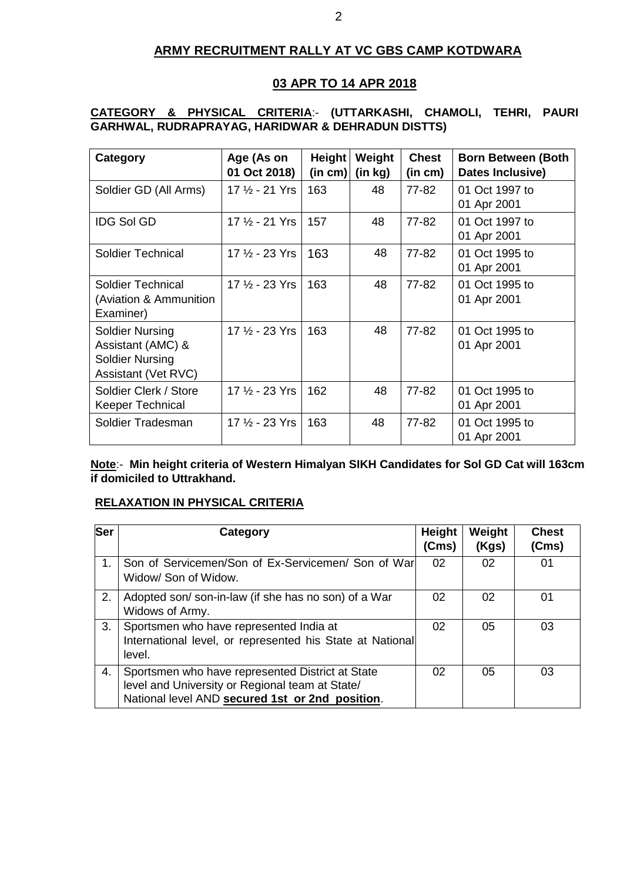## **ARMY RECRUITMENT RALLY AT VC GBS CAMP KOTDWARA**

## **03 APR TO 14 APR 2018**

## **CATEGORY & PHYSICAL CRITERIA**:- **(UTTARKASHI, CHAMOLI, TEHRI, PAURI GARHWAL, RUDRAPRAYAG, HARIDWAR & DEHRADUN DISTTS)**

| Category                                                                                     | Age (As on<br>01 Oct 2018) | <b>Height</b><br>(in cm) | Weight<br>(in kg) | <b>Chest</b><br>(in cm) | <b>Born Between (Both</b><br>Dates Inclusive) |
|----------------------------------------------------------------------------------------------|----------------------------|--------------------------|-------------------|-------------------------|-----------------------------------------------|
| Soldier GD (All Arms)                                                                        | 17 1/2 - 21 Yrs            | 163                      | 48                | 77-82                   | 01 Oct 1997 to<br>01 Apr 2001                 |
| <b>IDG Sol GD</b>                                                                            | 17 1/2 - 21 Yrs            | 157                      | 48                | 77-82                   | 01 Oct 1997 to<br>01 Apr 2001                 |
| <b>Soldier Technical</b>                                                                     | 17 1/2 - 23 Yrs            | 163                      | 48                | 77-82                   | 01 Oct 1995 to<br>01 Apr 2001                 |
| <b>Soldier Technical</b><br>(Aviation & Ammunition<br>Examiner)                              | 17 1/2 - 23 Yrs            | 163                      | 48                | 77-82                   | 01 Oct 1995 to<br>01 Apr 2001                 |
| <b>Soldier Nursing</b><br>Assistant (AMC) &<br><b>Soldier Nursing</b><br>Assistant (Vet RVC) | 17 1/2 - 23 Yrs            | 163                      | 48                | 77-82                   | 01 Oct 1995 to<br>01 Apr 2001                 |
| Soldier Clerk / Store<br>Keeper Technical                                                    | 17 $\frac{1}{2}$ - 23 Yrs  | 162                      | 48                | 77-82                   | 01 Oct 1995 to<br>01 Apr 2001                 |
| Soldier Tradesman                                                                            | 17 1/2 - 23 Yrs            | 163                      | 48                | 77-82                   | 01 Oct 1995 to<br>01 Apr 2001                 |

**Note**:- **Min height criteria of Western Himalyan SIKH Candidates for Sol GD Cat will 163cm if domiciled to Uttrakhand.**

## **RELAXATION IN PHYSICAL CRITERIA**

| <b>Ser</b> | Category                                                                                                                                               | Height<br>(Cms) | Weight<br>(Kgs) | <b>Chest</b><br>(Cms) |
|------------|--------------------------------------------------------------------------------------------------------------------------------------------------------|-----------------|-----------------|-----------------------|
| 1.         | Son of Servicemen/Son of Ex-Servicemen/Son of War<br>Widow/ Son of Widow.                                                                              | 02              | 02              | 01                    |
| 2.         | Adopted son/ son-in-law (if she has no son) of a War<br>Widows of Army.                                                                                | 02              | 02              | 01                    |
| 3.         | Sportsmen who have represented India at<br>International level, or represented his State at National<br>level.                                         | 02              | 05              | 03                    |
| 4.         | Sportsmen who have represented District at State<br>level and University or Regional team at State/<br>National level AND secured 1st or 2nd position. | 02              | 05              | 03                    |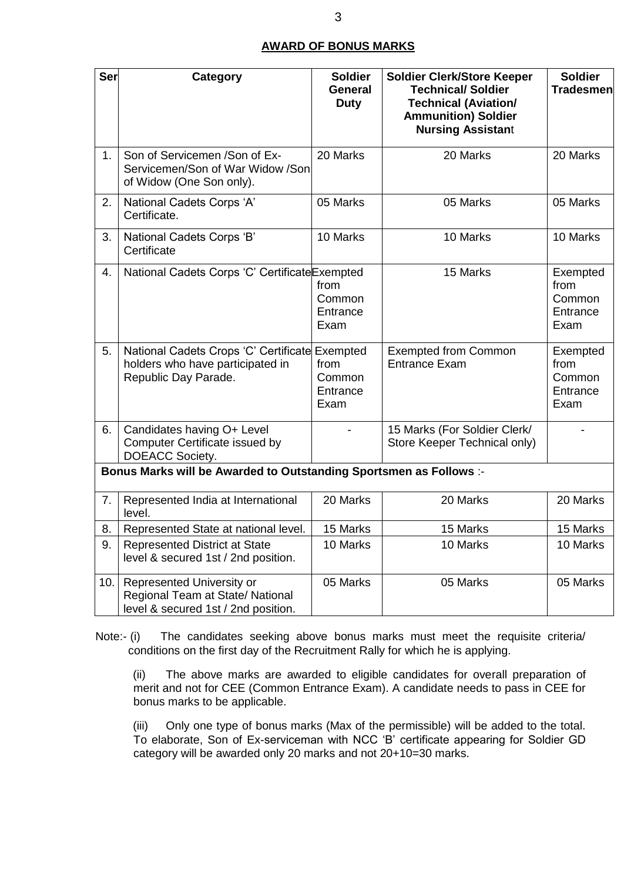#### **AWARD OF BONUS MARKS**

| <b>Ser</b>     | <b>Category</b>                                                                                            | <b>Soldier</b><br>General<br><b>Duty</b> | <b>Soldier Clerk/Store Keeper</b><br><b>Technical/ Soldier</b><br><b>Technical (Aviation/</b><br><b>Ammunition) Soldier</b><br><b>Nursing Assistant</b> | <b>Soldier</b><br><b>Tradesmen</b>             |
|----------------|------------------------------------------------------------------------------------------------------------|------------------------------------------|---------------------------------------------------------------------------------------------------------------------------------------------------------|------------------------------------------------|
| 1 <sub>1</sub> | Son of Servicemen / Son of Ex-<br>Servicemen/Son of War Widow /Son<br>of Widow (One Son only).             | 20 Marks                                 | 20 Marks                                                                                                                                                | 20 Marks                                       |
| 2.             | National Cadets Corps 'A'<br>Certificate.                                                                  | 05 Marks                                 | 05 Marks                                                                                                                                                | 05 Marks                                       |
| 3.             | National Cadets Corps 'B'<br>Certificate                                                                   | 10 Marks                                 | 10 Marks                                                                                                                                                | 10 Marks                                       |
| 4.             | National Cadets Corps 'C' CertificateExempted                                                              | from<br>Common<br>Entrance<br>Exam       | 15 Marks                                                                                                                                                | Exempted<br>from<br>Common<br>Entrance<br>Exam |
| 5.             | National Cadets Crops 'C' Certificate Exempted<br>holders who have participated in<br>Republic Day Parade. | from<br>Common<br>Entrance<br>Exam       | <b>Exempted from Common</b><br><b>Entrance Exam</b>                                                                                                     | Exempted<br>from<br>Common<br>Entrance<br>Exam |
| 6.             | Candidates having O+ Level<br>Computer Certificate issued by<br>DOEACC Society.                            |                                          | 15 Marks (For Soldier Clerk/<br>Store Keeper Technical only)                                                                                            |                                                |
|                | Bonus Marks will be Awarded to Outstanding Sportsmen as Follows :-                                         |                                          |                                                                                                                                                         |                                                |
| 7.             | Represented India at International<br>level.                                                               | 20 Marks                                 | 20 Marks                                                                                                                                                | 20 Marks                                       |
| 8.             | Represented State at national level.                                                                       | 15 Marks                                 | 15 Marks                                                                                                                                                | 15 Marks                                       |
| 9.             | <b>Represented District at State</b><br>level & secured 1st / 2nd position.                                | 10 Marks                                 | 10 Marks                                                                                                                                                | 10 Marks                                       |
| 10.            | Represented University or<br>Regional Team at State/ National<br>level & secured 1st / 2nd position.       | 05 Marks                                 | 05 Marks                                                                                                                                                | 05 Marks                                       |

Note:- (i) The candidates seeking above bonus marks must meet the requisite criteria/ conditions on the first day of the Recruitment Rally for which he is applying.

(ii) The above marks are awarded to eligible candidates for overall preparation of merit and not for CEE (Common Entrance Exam). A candidate needs to pass in CEE for bonus marks to be applicable.

(iii) Only one type of bonus marks (Max of the permissible) will be added to the total. To elaborate, Son of Ex-serviceman with NCC "B" certificate appearing for Soldier GD category will be awarded only 20 marks and not 20+10=30 marks.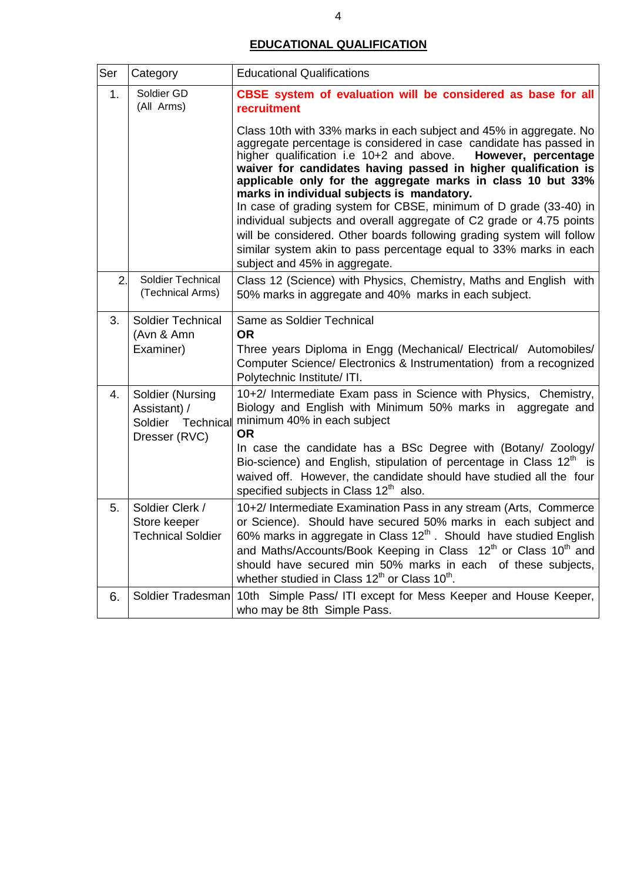## **EDUCATIONAL QUALIFICATION**

| Ser                            | Category                                                    | <b>Educational Qualifications</b>                                                                                                                                                                                                                                                                                                                                                                                                                                                                                                                                                                                                                                                                                      |
|--------------------------------|-------------------------------------------------------------|------------------------------------------------------------------------------------------------------------------------------------------------------------------------------------------------------------------------------------------------------------------------------------------------------------------------------------------------------------------------------------------------------------------------------------------------------------------------------------------------------------------------------------------------------------------------------------------------------------------------------------------------------------------------------------------------------------------------|
| Soldier GD<br>1.<br>(All Arms) |                                                             | CBSE system of evaluation will be considered as base for all<br><b>recruitment</b>                                                                                                                                                                                                                                                                                                                                                                                                                                                                                                                                                                                                                                     |
|                                |                                                             | Class 10th with 33% marks in each subject and 45% in aggregate. No<br>aggregate percentage is considered in case candidate has passed in<br>higher qualification i.e 10+2 and above.<br>However, percentage<br>waiver for candidates having passed in higher qualification is<br>applicable only for the aggregate marks in class 10 but 33%<br>marks in individual subjects is mandatory.<br>In case of grading system for CBSE, minimum of D grade (33-40) in<br>individual subjects and overall aggregate of C2 grade or 4.75 points<br>will be considered. Other boards following grading system will follow<br>similar system akin to pass percentage equal to 33% marks in each<br>subject and 45% in aggregate. |
| 2.                             | Soldier Technical<br>(Technical Arms)                       | Class 12 (Science) with Physics, Chemistry, Maths and English with<br>50% marks in aggregate and 40% marks in each subject.                                                                                                                                                                                                                                                                                                                                                                                                                                                                                                                                                                                            |
| 3.                             | Soldier Technical<br>(Avn & Amn<br>Examiner)                | Same as Soldier Technical<br><b>OR</b><br>Three years Diploma in Engg (Mechanical/ Electrical/ Automobiles/                                                                                                                                                                                                                                                                                                                                                                                                                                                                                                                                                                                                            |
|                                |                                                             | Computer Science/ Electronics & Instrumentation) from a recognized<br>Polytechnic Institute/ ITI.                                                                                                                                                                                                                                                                                                                                                                                                                                                                                                                                                                                                                      |
| 4.                             | Soldier (Nursing<br>Assistant) /<br>Soldier Technical       | 10+2/ Intermediate Exam pass in Science with Physics, Chemistry,<br>Biology and English with Minimum 50% marks in aggregate and<br>minimum 40% in each subject<br><b>OR</b>                                                                                                                                                                                                                                                                                                                                                                                                                                                                                                                                            |
|                                | Dresser (RVC)                                               | In case the candidate has a BSc Degree with (Botany/ Zoology/<br>Bio-science) and English, stipulation of percentage in Class $12th$ is<br>waived off. However, the candidate should have studied all the four<br>specified subjects in Class 12 <sup>th</sup> also.                                                                                                                                                                                                                                                                                                                                                                                                                                                   |
| 5.                             | Soldier Clerk /<br>Store keeper<br><b>Technical Soldier</b> | 10+2/ Intermediate Examination Pass in any stream (Arts, Commerce<br>or Science). Should have secured 50% marks in each subject and<br>60% marks in aggregate in Class $12^{th}$ . Should have studied English<br>and Maths/Accounts/Book Keeping in Class 12 <sup>th</sup> or Class 10 <sup>th</sup> and<br>should have secured min 50% marks in each of these subjects,<br>whether studied in Class 12 <sup>th</sup> or Class 10 <sup>th</sup> .                                                                                                                                                                                                                                                                     |
| 6.                             | Soldier Tradesman                                           | 10th Simple Pass/ ITI except for Mess Keeper and House Keeper,<br>who may be 8th Simple Pass.                                                                                                                                                                                                                                                                                                                                                                                                                                                                                                                                                                                                                          |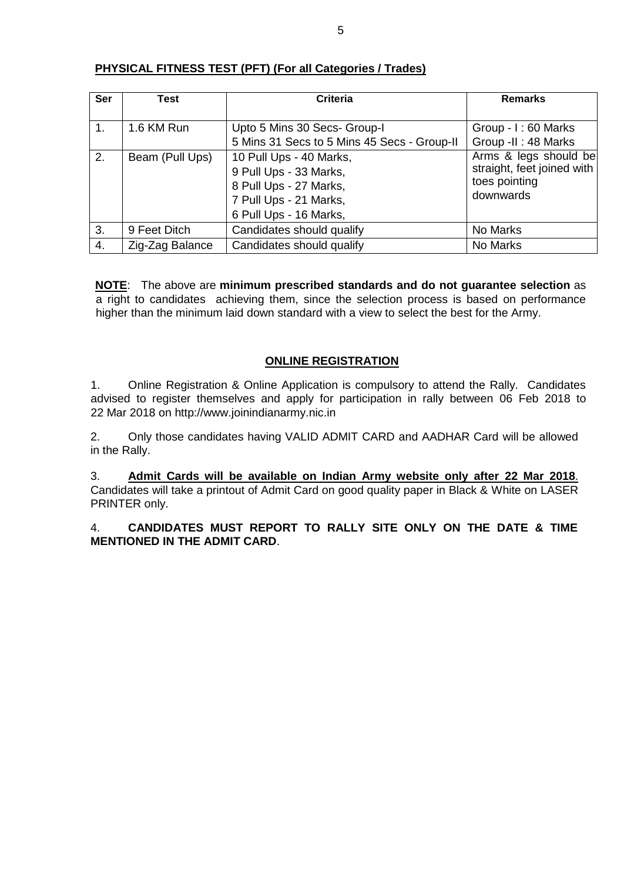| Ser | Test            | <b>Criteria</b>                                                                                                                 | <b>Remarks</b>                                                                    |
|-----|-----------------|---------------------------------------------------------------------------------------------------------------------------------|-----------------------------------------------------------------------------------|
|     |                 |                                                                                                                                 |                                                                                   |
| 1.  | 1.6 KM Run      | Upto 5 Mins 30 Secs- Group-I                                                                                                    | Group - I: 60 Marks                                                               |
|     |                 | 5 Mins 31 Secs to 5 Mins 45 Secs - Group-II                                                                                     | Group -II: 48 Marks                                                               |
| 2.  | Beam (Pull Ups) | 10 Pull Ups - 40 Marks,<br>9 Pull Ups - 33 Marks,<br>8 Pull Ups - 27 Marks,<br>7 Pull Ups - 21 Marks,<br>6 Pull Ups - 16 Marks, | Arms & legs should be<br>straight, feet joined with<br>toes pointing<br>downwards |
| 3.  | 9 Feet Ditch    | Candidates should qualify                                                                                                       | No Marks                                                                          |
| 4.  | Zig-Zag Balance | Candidates should qualify                                                                                                       | No Marks                                                                          |

### **PHYSICAL FITNESS TEST (PFT) (For all Categories / Trades)**

**NOTE**: The above are **minimum prescribed standards and do not guarantee selection** as a right to candidates achieving them, since the selection process is based on performance higher than the minimum laid down standard with a view to select the best for the Army.

### **ONLINE REGISTRATION**

1. Online Registration & Online Application is compulsory to attend the Rally. Candidates advised to register themselves and apply for participation in rally between 06 Feb 2018 to 22 Mar 2018 on http://www.joinindianarmy.nic.in

2. Only those candidates having VALID ADMIT CARD and AADHAR Card will be allowed in the Rally.

3. **Admit Cards will be available on Indian Army website only after 22 Mar 2018**. Candidates will take a printout of Admit Card on good quality paper in Black & White on LASER PRINTER only.

4. **CANDIDATES MUST REPORT TO RALLY SITE ONLY ON THE DATE & TIME MENTIONED IN THE ADMIT CARD**.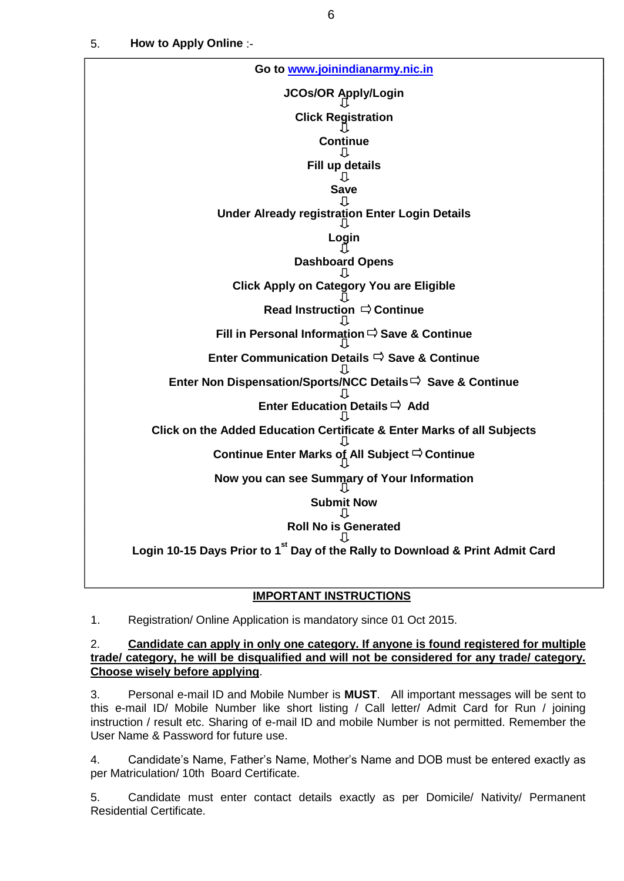5. **How to Apply Online** :-



#### **IMPORTANT INSTRUCTIONS**

1. Registration/ Online Application is mandatory since 01 Oct 2015.

#### 2. **Candidate can apply in only one category. If anyone is found registered for multiple trade/ category, he will be disqualified and will not be considered for any trade/ category. Choose wisely before applying**.

3. Personal e-mail ID and Mobile Number is **MUST**. All important messages will be sent to this e-mail ID/ Mobile Number like short listing / Call letter/ Admit Card for Run / joining instruction / result etc. Sharing of e-mail ID and mobile Number is not permitted. Remember the User Name & Password for future use.

4. Candidate"s Name, Father"s Name, Mother"s Name and DOB must be entered exactly as per Matriculation/ 10th Board Certificate.

5. Candidate must enter contact details exactly as per Domicile/ Nativity/ Permanent Residential Certificate.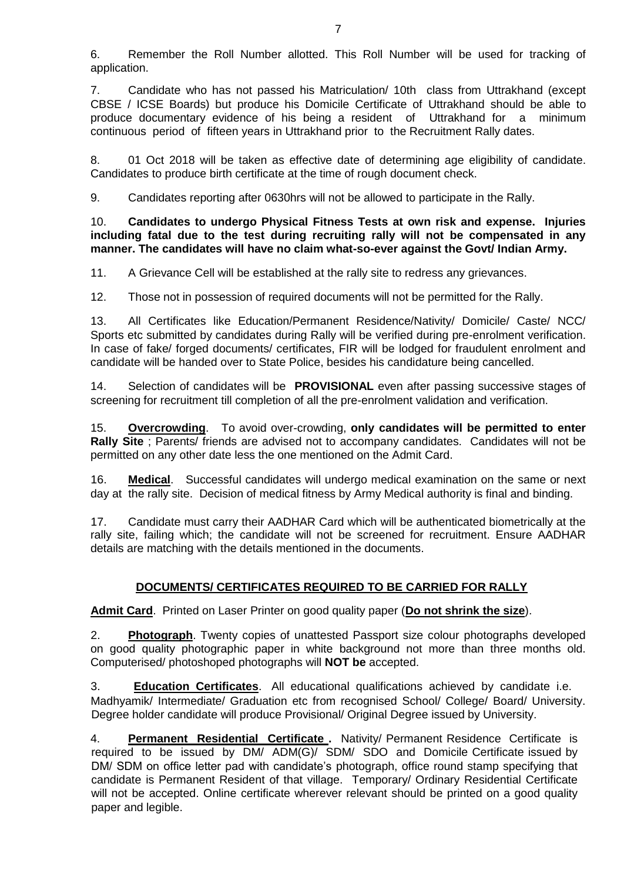6. Remember the Roll Number allotted. This Roll Number will be used for tracking of application.

7. Candidate who has not passed his Matriculation/ 10th class from Uttrakhand (except CBSE / ICSE Boards) but produce his Domicile Certificate of Uttrakhand should be able to produce documentary evidence of his being a resident of Uttrakhand for a minimum continuous period of fifteen years in Uttrakhand prior to the Recruitment Rally dates.

8. 01 Oct 2018 will be taken as effective date of determining age eligibility of candidate. Candidates to produce birth certificate at the time of rough document check.

9. Candidates reporting after 0630hrs will not be allowed to participate in the Rally.

10. **Candidates to undergo Physical Fitness Tests at own risk and expense. Injuries including fatal due to the test during recruiting rally will not be compensated in any manner. The candidates will have no claim what-so-ever against the Govt/ Indian Army.** 

11. A Grievance Cell will be established at the rally site to redress any grievances.

12. Those not in possession of required documents will not be permitted for the Rally.

13. All Certificates like Education/Permanent Residence/Nativity/ Domicile/ Caste/ NCC/ Sports etc submitted by candidates during Rally will be verified during pre-enrolment verification. In case of fake/ forged documents/ certificates, FIR will be lodged for fraudulent enrolment and candidate will be handed over to State Police, besides his candidature being cancelled.

14. Selection of candidates will be **PROVISIONAL** even after passing successive stages of screening for recruitment till completion of all the pre-enrolment validation and verification.

15. **Overcrowding**. To avoid over-crowding, **only candidates will be permitted to enter Rally Site** ; Parents/ friends are advised not to accompany candidates. Candidates will not be permitted on any other date less the one mentioned on the Admit Card.

16. **Medical**. Successful candidates will undergo medical examination on the same or next day at the rally site. Decision of medical fitness by Army Medical authority is final and binding.

17. Candidate must carry their AADHAR Card which will be authenticated biometrically at the rally site, failing which; the candidate will not be screened for recruitment. Ensure AADHAR details are matching with the details mentioned in the documents.

## **DOCUMENTS/ CERTIFICATES REQUIRED TO BE CARRIED FOR RALLY**

**Admit Card**. Printed on Laser Printer on good quality paper (**Do not shrink the size**).

2. **Photograph**. Twenty copies of unattested Passport size colour photographs developed on good quality photographic paper in white background not more than three months old. Computerised/ photoshoped photographs will **NOT be** accepted.

3. **Education Certificates**. All educational qualifications achieved by candidate i.e. Madhyamik/ Intermediate/ Graduation etc from recognised School/ College/ Board/ University. Degree holder candidate will produce Provisional/ Original Degree issued by University.

4. **Permanent Residential Certificate .** Nativity/ Permanent Residence Certificate is required to be issued by DM/ ADM(G)/ SDM/ SDO and Domicile Certificate issued by DM/ SDM on office letter pad with candidate's photograph, office round stamp specifying that candidate is Permanent Resident of that village. Temporary/ Ordinary Residential Certificate will not be accepted. Online certificate wherever relevant should be printed on a good quality paper and legible.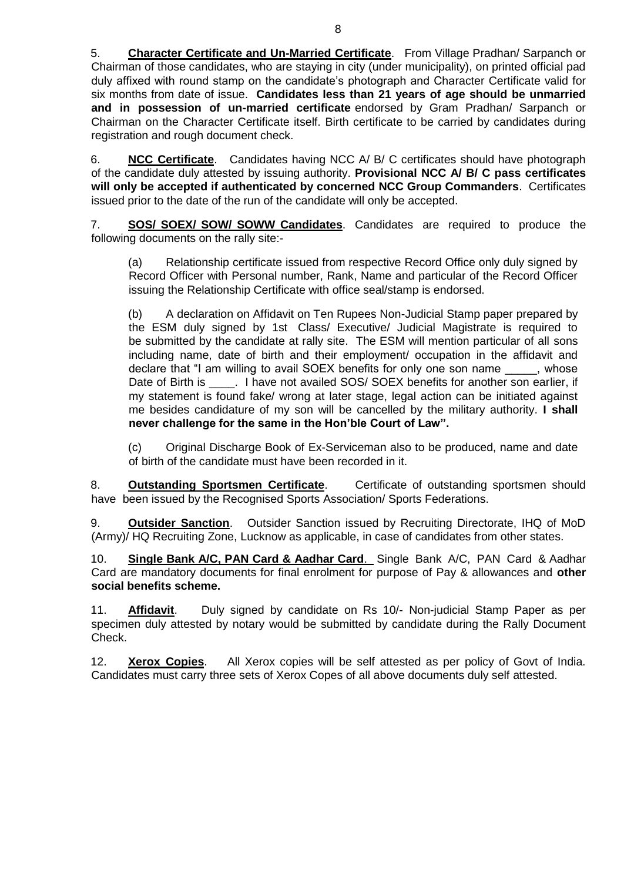5. **Character Certificate and Un-Married Certificate**. From Village Pradhan/ Sarpanch or Chairman of those candidates, who are staying in city (under municipality), on printed official pad duly affixed with round stamp on the candidate"s photograph and Character Certificate valid for six months from date of issue. **Candidates less than 21 years of age should be unmarried and in possession of un-married certificate** endorsed by Gram Pradhan/ Sarpanch or Chairman on the Character Certificate itself. Birth certificate to be carried by candidates during registration and rough document check.

6. **NCC Certificate**. Candidates having NCC A/ B/ C certificates should have photograph of the candidate duly attested by issuing authority. **Provisional NCC A/ B/ C pass certificates will only be accepted if authenticated by concerned NCC Group Commanders**. Certificates issued prior to the date of the run of the candidate will only be accepted.

7. **SOS/ SOEX/ SOW/ SOWW Candidates**. Candidates are required to produce the following documents on the rally site:-

(a) Relationship certificate issued from respective Record Office only duly signed by Record Officer with Personal number, Rank, Name and particular of the Record Officer issuing the Relationship Certificate with office seal/stamp is endorsed.

(b) A declaration on Affidavit on Ten Rupees Non-Judicial Stamp paper prepared by the ESM duly signed by 1st Class/ Executive/ Judicial Magistrate is required to be submitted by the candidate at rally site. The ESM will mention particular of all sons including name, date of birth and their employment/ occupation in the affidavit and declare that "I am willing to avail SOEX benefits for only one son name whose Date of Birth is \_\_\_\_. I have not availed SOS/ SOEX benefits for another son earlier, if my statement is found fake/ wrong at later stage, legal action can be initiated against me besides candidature of my son will be cancelled by the military authority. **I shall never challenge for the same in the Hon'ble Court of Law".** 

(c) Original Discharge Book of Ex-Serviceman also to be produced, name and date of birth of the candidate must have been recorded in it.

8. **Outstanding Sportsmen Certificate**. Certificate of outstanding sportsmen should have been issued by the Recognised Sports Association/ Sports Federations.

9. **Outsider Sanction**. Outsider Sanction issued by Recruiting Directorate, IHQ of MoD (Army)/ HQ Recruiting Zone, Lucknow as applicable, in case of candidates from other states.

10. **Single Bank A/C, PAN Card & Aadhar Card**. Single Bank A/C, PAN Card & Aadhar Card are mandatory documents for final enrolment for purpose of Pay & allowances and **other social benefits scheme.** 

11. **Affidavit**. Duly signed by candidate on Rs 10/- Non-judicial Stamp Paper as per specimen duly attested by notary would be submitted by candidate during the Rally Document Check.

12. **Xerox Copies**. All Xerox copies will be self attested as per policy of Govt of India. Candidates must carry three sets of Xerox Copes of all above documents duly self attested.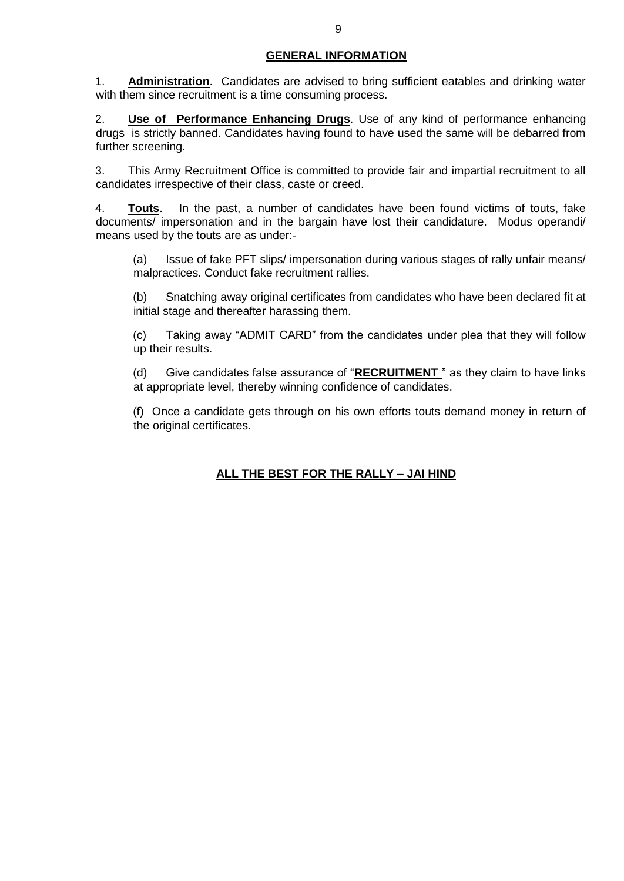### **GENERAL INFORMATION**

1. **Administration**. Candidates are advised to bring sufficient eatables and drinking water with them since recruitment is a time consuming process.

2. **Use of Performance Enhancing Drugs**. Use of any kind of performance enhancing drugs is strictly banned. Candidates having found to have used the same will be debarred from further screening.

3. This Army Recruitment Office is committed to provide fair and impartial recruitment to all candidates irrespective of their class, caste or creed.

4. **Touts**. In the past, a number of candidates have been found victims of touts, fake documents/ impersonation and in the bargain have lost their candidature. Modus operandi/ means used by the touts are as under:-

(a) Issue of fake PFT slips/ impersonation during various stages of rally unfair means/ malpractices. Conduct fake recruitment rallies.

(b) Snatching away original certificates from candidates who have been declared fit at initial stage and thereafter harassing them.

(c) Taking away "ADMIT CARD" from the candidates under plea that they will follow up their results.

(d) Give candidates false assurance of "**RECRUITMENT** " as they claim to have links at appropriate level, thereby winning confidence of candidates.

(f) Once a candidate gets through on his own efforts touts demand money in return of the original certificates.

# **ALL THE BEST FOR THE RALLY – JAI HIND**